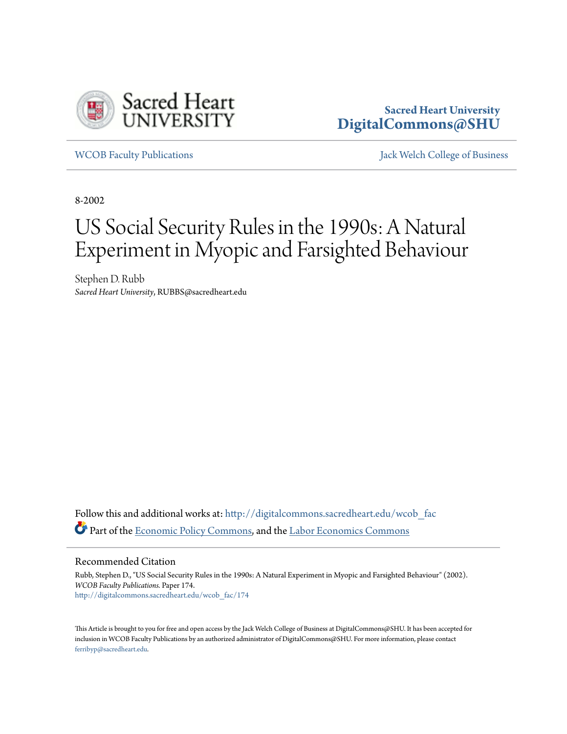

## **Sacred Heart University [DigitalCommons@SHU](http://digitalcommons.sacredheart.edu?utm_source=digitalcommons.sacredheart.edu%2Fwcob_fac%2F174&utm_medium=PDF&utm_campaign=PDFCoverPages)**

[WCOB Faculty Publications](http://digitalcommons.sacredheart.edu/wcob_fac?utm_source=digitalcommons.sacredheart.edu%2Fwcob_fac%2F174&utm_medium=PDF&utm_campaign=PDFCoverPages) [Jack Welch College of Business](http://digitalcommons.sacredheart.edu/wcob?utm_source=digitalcommons.sacredheart.edu%2Fwcob_fac%2F174&utm_medium=PDF&utm_campaign=PDFCoverPages)

8-2002

# US Social Security Rules in the 1990s: A Natural Experiment in Myopic and Farsighted Behaviour

Stephen D. Rubb *Sacred Heart University*, RUBBS@sacredheart.edu

Follow this and additional works at: [http://digitalcommons.sacredheart.edu/wcob\\_fac](http://digitalcommons.sacredheart.edu/wcob_fac?utm_source=digitalcommons.sacredheart.edu%2Fwcob_fac%2F174&utm_medium=PDF&utm_campaign=PDFCoverPages) Part of the [Economic Policy Commons,](http://network.bepress.com/hgg/discipline/1025?utm_source=digitalcommons.sacredheart.edu%2Fwcob_fac%2F174&utm_medium=PDF&utm_campaign=PDFCoverPages) and the [Labor Economics Commons](http://network.bepress.com/hgg/discipline/349?utm_source=digitalcommons.sacredheart.edu%2Fwcob_fac%2F174&utm_medium=PDF&utm_campaign=PDFCoverPages)

Recommended Citation

Rubb, Stephen D., "US Social Security Rules in the 1990s: A Natural Experiment in Myopic and Farsighted Behaviour" (2002). *WCOB Faculty Publications.* Paper 174. [http://digitalcommons.sacredheart.edu/wcob\\_fac/174](http://digitalcommons.sacredheart.edu/wcob_fac/174?utm_source=digitalcommons.sacredheart.edu%2Fwcob_fac%2F174&utm_medium=PDF&utm_campaign=PDFCoverPages)

This Article is brought to you for free and open access by the Jack Welch College of Business at DigitalCommons@SHU. It has been accepted for inclusion in WCOB Faculty Publications by an authorized administrator of DigitalCommons@SHU. For more information, please contact [ferribyp@sacredheart.edu](mailto:ferribyp@sacredheart.edu).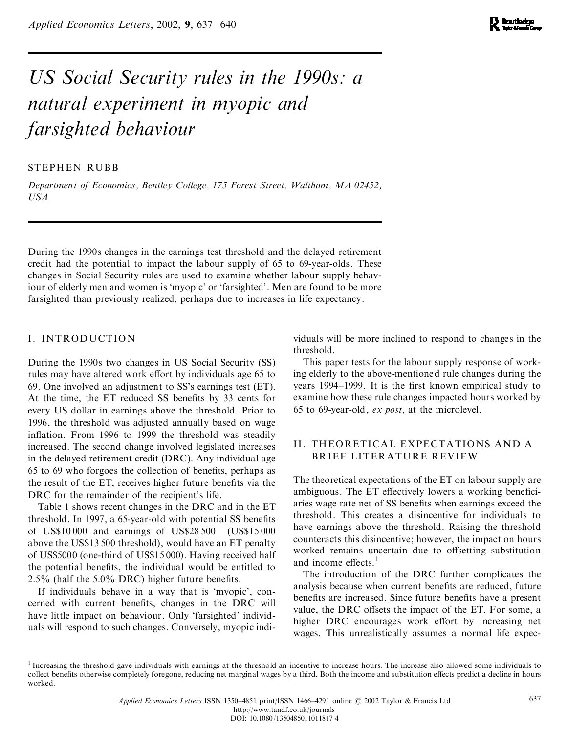*Applied Economics Letters*, 2002, 9, 637–640

## *US Social Security rules in the 1990s: a natural experiment in myopic and farsighted behaviour*

## STEPHEN RUBB

*Department of Economics, Bentley College, 175 Forest Street, Waltham, MA 02452, USA*

During the 1990s changes in the earnings test threshold and the delayed retirement credit had the potential to impact the labour supply of 65 to 69-year-olds. These changes in Social Security rules are used to examine whether labour supply behaviour of elderly men and women is 'myopic' or 'farsighted'. Men are found to be more farsighted than previously realized, perhaps due to increases in life expectancy.

## I. INTRODUCTION

During the 1990s two changes in US Social Security (SS) rules may have altered work effort by individuals age 65 to 69. One involved an adjustment to SS's earnings test (ET). At the time, the ET reduced SS benefits by 33 cents for every US dollar in earnings above the threshold. Prior to 1996, the threshold was adjusted annually based on wage inflation. From 1996 to 1999 the threshold was steadily increased. The second change involved legislated increases in the delayed retirement credit (DRC). Any individual age  $65$  to  $69$  who forgoes the collection of benefits, perhaps as the result of the ET, receives higher future benefits via the DRC for the remainder of the recipient's life.

Table 1 shows recent changes in the DRC and in the ET threshold. In 1997, a 65-year-old with potential SS benefits of US\$10 000 and earnings of US\$28 500 (US\$15 000 above the US\$13 500 threshold), would have an ET penalty of US\$5000 (one-third of US\$15 000). Having received half the potential benefits, the individual would be entitled to  $2.5\%$  (half the  $5.0\%$  DRC) higher future benefits.

If individuals behave in a way that is `myopic', con cerned with current benefits, changes in the DRC will have little impact on behaviour. Only 'farsighted' individuals will respond to such changes. Conversely, myopic individuals will be more inclined to respond to changes in the threshold.

This paper tests for the labour supply response of working elderly to the above-mentioned rule changes during the years 1994–1999. It is the first known empirical study to examine how these rule changes impacted hours worked by 65 to 69-year-old, *ex post*, at the microlevel.

### II. THEORETICAL EXPECTATIONS AND A BRIEF LITERATURE REVIEW

The theoretical expectations of the ET on labour supply are ambiguous. The ET effectively lowers a working beneficiaries wage rate net of SS benefits when earnings exceed the threshold. This creates a disincentive for individuals to have earnings above the threshold. Raising the threshold counteracts this disincentive; however, the impact on hours worked remains uncertain due to offsetting substitution and income effects. $<sup>1</sup>$ </sup>

The introduction of the DRC further complicates the analysis because when current benefits are reduced, future benefits are increased. Since future benefits have a present value, the DRC offsets the impact of the ET. For some, a higher DRC encourages work effort by increasing net wages. This unrealistically assumes a normal life expec-

<sup>&</sup>lt;sup>1</sup> Increasing the threshold gave individuals with earnings at the threshold an incentive to increase hours. The increase also allowed some individuals to collect benefits otherwise completely foregone, reducing net marginal wages by a third. Both the income and substitution effects predict a decline in hours worked.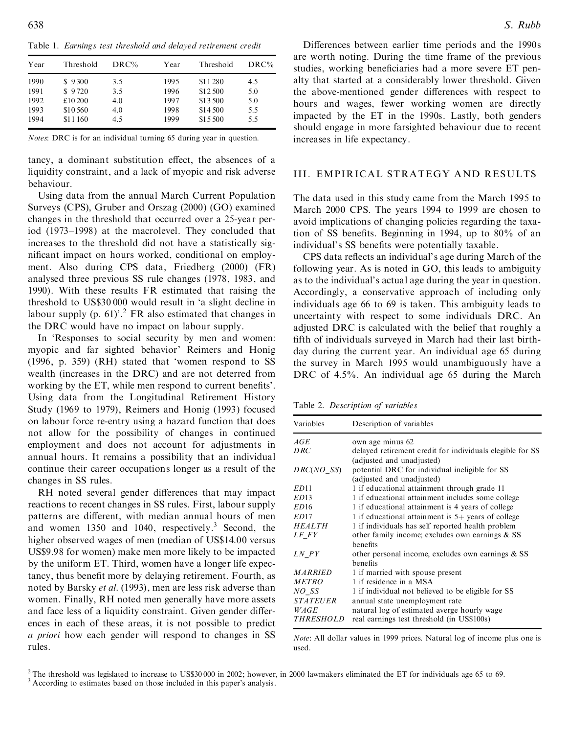Table 1. *Earnings test threshold and delayed retirement credit*

| Year | Threshold | DRC% | Year | Threshold | DRC% |
|------|-----------|------|------|-----------|------|
| 1990 | \$9300    | 3.5  | 1995 | \$11280   | 4.5  |
| 1991 | \$9720    | 3.5  | 1996 | \$12,500  | 5.0  |
| 1992 | £10 200   | 4.0  | 1997 | \$13500   | 5.0  |
| 1993 | \$10,560  | 4.0  | 1998 | \$14,500  | 5.5  |
| 1994 | \$11160   | 4.5  | 1999 | \$15 500  | 5.5  |

*Notes*: DRC is for an individual turning 65 during year in question.

tancy, a dominant substitution effect, the absences of a liquidity constraint, and a lack of myopic and risk adverse behaviour.

Using data from the annual March Current Population Surveys (CPS), Gruber and Orszag (2000) (GO) examined changes in the threshold that occurred over a 25-year period (1973–1998) at the macrolevel. They concluded that increases to the threshold did not have a statistically sig nificant impact on hours worked, conditional on employment. Also during CPS data, Friedberg (2000) (FR) analysed three previous SS rule changes (1978, 1983, and 1990). With these results FR estimated that raising the threshold to US\$30 000 would result in `a slight decline in labour supply (p. 61)'.<sup>2</sup> FR also estimated that changes in the DRC would have no impact on labour supply.

In 'Responses to social security by men and women: myopic and far sighted behavior' Reimers and Honig (1996, p. 359) (RH) stated that `women respond to SS wealth (increases in the DRC) and are not deterred from working by the ET, while men respond to current benefits'. Using data from the Longitudinal Retirement History Study (1969 to 1979), Reimers and Honig (1993) focused on labour force re-entry using a hazard function that does not allow for the possibility of changes in continued employment and does not account for adjustments in annual hours. It remains a possibility that an individual continue their career occupations longer as a result of the changes in SS rules.

RH noted several gender differences that may impact reactions to recent changes in SS rules. First, labour supply patterns are different, with median annual hours of men and women  $1350$  and  $1040$ , respectively.<sup>3</sup> Second, the higher observed wages of men (median of US\$14.00 versus US\$9.98 for women) make men more likely to be impacted by the uniform ET. Third, women have a longer life expectancy, thus benefit more by delaying retirement. Fourth, as noted by Barsky *et al.* (1993), men are less risk adverse than women. Finally, RH noted men generally have more assets and face less of a liquidity constraint. Given gender differences in each of these areas, it is not possible to predict *a priori* how each gender will respond to changes in SS rules.

Differences between earlier time periods and the 1990s are worth noting. During the time frame of the previous studies, working beneficiaries had a more severe ET penalty that started at a considerably lower threshold. Given the above-mentioned gender differences with respect to hours and wages, fewer working women are directly impacted by the ET in the 1990s. Lastly, both genders should engage in more farsighted behaviour due to recent increases in life expectancy.

#### III. EMPIRICAL STRATEGY AND RESULTS

The data used in this study came from the March 1995 to March 2000 CPS. The years 1994 to 1999 are chosen to avoid implications of changing policies regarding the taxation of SS benefits. Beginning in 1994, up to  $80\%$  of an individual's SS benefits were potentially taxable.

CPS data reflects an individual's age during March of the following year. As is noted in GO, this leads to ambiguity as to the individual's actual age during the year in question. Accordingly, a conservative approach of including only individuals age 66 to 69 is taken. This ambiguity leads to uncertainty with respect to some individuals DRC. An adjusted DRC is calculated with the belief that roughly a fifth of individuals surveyed in March had their last birthday during the current year. An individual age 65 during the survey in March 1995 would unambiguously have a DRC of 4.5%. An individual age 65 during the March

Table 2. *Description of variables*

| Variables        | Description of variables                                                               |
|------------------|----------------------------------------------------------------------------------------|
| AGE              | own age minus 62                                                                       |
| DRC              | delayed retirement credit for individuals elegible for SS<br>(adjusted and unadjusted) |
| DRC(NO SS)       | potential DRC for individual ineligible for SS<br>(adjusted and unadjusted)            |
| ED <sub>11</sub> | 1 if educational attainment through grade 11                                           |
| ED13             | 1 if educational attainment includes some college                                      |
| ED <sub>16</sub> | 1 if educational attainment is 4 years of college                                      |
| ED <sub>17</sub> | 1 if educational attainment is $5+$ years of college                                   |
| <i>HEALTH</i>    | 1 if individuals has self reported health problem                                      |
| LF FY            | other family income; excludes own earnings & SS<br>benefits                            |
| LN PY            | other personal income, excludes own earnings & SS<br>benefits                          |
| <b>MARRIED</b>   | 1 if married with spouse present                                                       |
| <b>METRO</b>     | 1 if residence in a MSA                                                                |
| NO SS            | 1 if individual not believed to be eligible for SS                                     |
| <b>STATEUER</b>  | annual state unemployment rate                                                         |
| WAGE             | natural log of estimated averge hourly wage                                            |
| THRESHOLD        | real earnings test threshold (in US\$100s)                                             |

*Note*: All dollar values in 1999 prices. Natural log of income plus one is used.

<sup>&</sup>lt;sup>2</sup> The threshold was legislated to increase to US\$30 000 in 2002; however, in 2000 lawmakers eliminated the ET for individuals age 65 to 69.  $\frac{3}{3}$  According to estimates based on those included in this paper's analys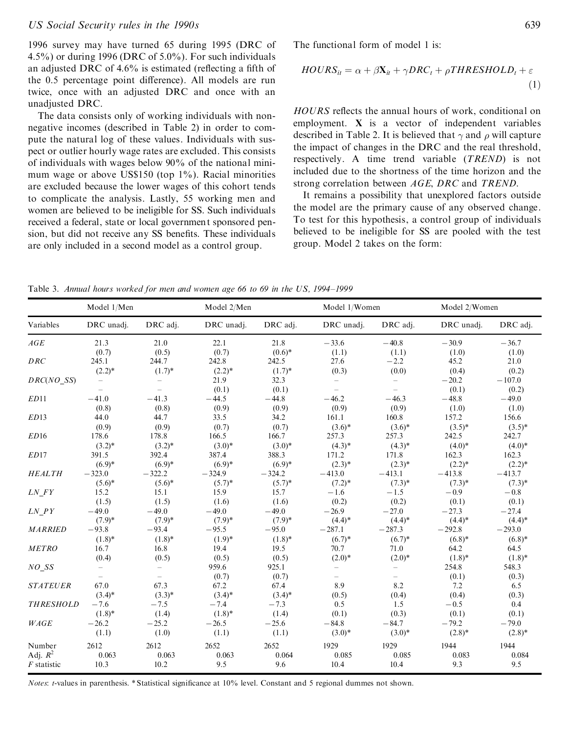#### *US Social Security rules in the 1990s* 639

1996 survey may have turned 65 during 1995 (DRC of 4.5%) or during 1996 (DRC of 5.0%). For such individuals an adjusted DRC of  $4.6\%$  is estimated (reflecting a fifth of the 0.5 percentage point difference). All models are run twice, once with an adjusted DRC and once with an unadjusted DRC.

The data consists only of working individuals with non negative incomes (described in Table 2) in order to com pute the natural log of these values. Individuals with sus pect or outlier hourly wage rates are excluded. This consists of individuals with wages below 90% of the national mini mum wage or above US\$150 (top 1%). Racial minorities are excluded because the lower wages of this cohort tends to complicate the analysis. Lastly, 55 working men and women are believed to be ineligible for SS. Such individuals received a federal, state or local government sponsored pension, but did not receive any SS benefits. These individuals are only included in a second model as a control group.

The functional form of model 1 is:

$$
HOURS_{it} = \alpha + \beta \mathbf{X}_{it} + \gamma DRC_t + \rho THRESHOLD_t + \varepsilon
$$
\n(1)

HOURS reflects the annual hours of work, conditional on employment. **X** is a vector of independent variables described in Table 2. It is believed that  $\gamma$  and  $\rho$  will capture the impact of changes in the DRC and the real threshold, respectively. A time trend variable (*TREND*) is not included due to the shortness of the time horizon and the strong correlation between *AGE*, *DRC* and *TREND*.

It remains a possibility that unexplored factors outside the model are the primary cause of any observed change. To test for this hypothesis, a control group of individuals believed to be ineligible for SS are pooled with the test group. Model 2 takes on the form:

Table 3. *Annual hours worked for men and women age 66 to 69 in the US, 1994±1999*

|                  | Model 1/Men |                          | Model 2/Men |           | Model 1/Women            |                 | Model 2/Women |           |
|------------------|-------------|--------------------------|-------------|-----------|--------------------------|-----------------|---------------|-----------|
| Variables        | DRC unadj.  | DRC adj.                 | DRC unadj.  | DRC adj.  | DRC unadj.               | DRC adj.        | DRC unadj.    | DRC adj.  |
| AGE              | 21.3        | 21.0                     | 22.1        | 21.8      | $-33.6$                  | $-40.8$         | $-30.9$       | $-36.7$   |
|                  | (0.7)       | (0.5)<br>244.7           | (0.7)       | $(0.6)$ * | (1.1)                    | (1.1)<br>$-2.2$ | (1.0)         | (1.0)     |
| DRC              | 245.1       |                          | 242.8       | 242.5     | 27.6                     |                 | 45.2          | 21.0      |
|                  | $(2.2)^*$   | $(1.7)^*$                | $(2.2)^*$   | $(1.7)^*$ | (0.3)                    | (0.0)           | (0.4)         | (0.2)     |
| DRC(NO SS)       |             |                          | 21.9        | 32.3      | $\overline{\phantom{0}}$ |                 | $-20.2$       | $-107.0$  |
|                  | $-$         |                          | (0.1)       | (0.1)     | $\overline{\phantom{0}}$ |                 | (0.1)         | (0.2)     |
| ED11             | $-41.0$     | $-41.3$                  | $-44.5$     | $-44.8$   | $-46.2$                  | $-46.3$         | $-48.8$       | $-49.0$   |
|                  | (0.8)       | (0.8)                    | (0.9)       | (0.9)     | (0.9)                    | (0.9)           | (1.0)         | (1.0)     |
| ED13             | 44.0        | 44.7                     | 33.5        | 34.2      | 161.1                    | 160.8           | 157.2         | 156.6     |
|                  | (0.9)       | (0.9)                    | (0.7)       | (0.7)     | $(3.6)$ *                | $(3.6)$ *       | $(3.5)^*$     | $(3.5)^*$ |
| ED16             | 178.6       | 178.8                    | 166.5       | 166.7     | 257.3                    | 257.3           | 242.5         | 242.7     |
|                  | $(3.2)$ *   | $(3.2)^*$                | $(3.0)*$    | $(3.0)*$  | $(4.3)*$                 | $(4.3)*$        | $(4.0)*$      | $(4.0)$ * |
| ED17             | 391.5       | 392.4                    | 387.4       | 388.3     | 171.2                    | 171.8           | 162.3         | 162.3     |
|                  | $(6.9)*$    | $(6.9)*$                 | $(6.9)^*$   | $(6.9)*$  | $(2.3)^*$                | $(2.3)^*$       | $(2.2)$ *     | $(2.2)^*$ |
| <b>HEALTH</b>    | $-323.0$    | $-322.2$                 | $-324.9$    | $-324.2$  | $-413.0$                 | $-413.1$        | $-413.8$      | $-413.7$  |
|                  | $(5.6)^*$   | $(5.6)^*$                | $(5.7)^*$   | $(5.7)^*$ | $(7.2)^*$                | $(7.3)^*$       | $(7.3)^*$     | $(7.3)$ * |
| $LN\_FY$         | 15.2        | 15.1                     | 15.9        | 15.7      | $-1.6$                   | $-1.5$          | $-0.9$        | $-0.8$    |
|                  | (1.5)       | (1.5)                    | (1.6)       | (1.6)     | (0.2)                    | (0.2)           | (0.1)         | (0.1)     |
| LN PY            | $-49.0$     | $-49.0$                  | $-49.0$     | $-49.0$   | $-26.9$                  | $-27.0$         | $-27.3$       | $-27.4$   |
|                  | $(7.9)$ *   | $(7.9)$ *                | $(7.9)$ *   | $(7.9)*$  | $(4.4)$ *                | $(4.4)$ *       | $(4.4)$ *     | $(4.4)$ * |
| <b>MARRIED</b>   | $-93.8$     | $-93.4$                  | $-95.5$     | $-95.0$   | $-287.1$                 | $-287.3$        | $-292.8$      | $-293.0$  |
|                  | $(1.8)$ *   | $(1.8)$ *                | $(1.9)^*$   | $(1.8)^*$ | $(6.7)^*$                | $(6.7)^*$       | $(6.8)$ *     | $(6.8)$ * |
| <b>METRO</b>     | 16.7        | 16.8                     | 19.4        | 19.5      | 70.7                     | 71.0            | 64.2          | 64.5      |
|                  | (0.4)       | (0.5)                    | (0.5)       | (0.5)     | $(2.0)*$                 | $(2.0)*$        | $(1.8)$ *     | $(1.8)$ * |
| NO SS            |             |                          | 959.6       | 925.1     | $\overline{\phantom{0}}$ |                 | 254.8         | 548.3     |
|                  |             | $\overline{\phantom{0}}$ | (0.7)       | (0.7)     | $\qquad \qquad -$        |                 | (0.1)         | (0.3)     |
| <b>STATEUER</b>  | 67.0        | 67.3                     | 67.2        | 67.4      | 8.9                      | 8.2             | 7.2           | 6.5       |
|                  | $(3.4)$ *   | $(3.3)*$                 | $(3.4)$ *   | $(3.4)$ * | (0.5)                    | (0.4)           | (0.4)         | (0.3)     |
| <b>THRESHOLD</b> | $-7.6$      | $-7.5$                   | $-7.4$      | $-7.3$    | 0.5                      | 1.5             | $-0.5$        | 0.4       |
|                  | $(1.8)$ *   | (1.4)                    | $(1.8)$ *   | (1.4)     | (0.1)                    | (0.3)           | (0.1)         | (0.1)     |
| WAGE             | $-26.2$     | $-25.2$                  | $-26.5$     | $-25.6$   | $-84.8$                  | $-84.7$         | $-79.2$       | $-79.0$   |
|                  | (1.1)       | (1.0)                    | (1.1)       | (1.1)     | $(3.0)*$                 | $(3.0)*$        | $(2.8)$ *     | $(2.8)$ * |
| Number           | 2612        | 2612                     | 2652        | 2652      | 1929                     | 1929            | 1944          | 1944      |
| Adj. $R^2$       | 0.063       | 0.063                    | 0.063       | 0.064     | 0.085                    | 0.085           | 0.083         | 0.084     |
| $F$ statistic    | 10.3        | 10.2                     | 9.5         | 9.6       | 10.4                     | 10.4            | 9.3           | 9.5       |

*Notes*: *t*-values in parenthesis. \* Statistical significance at 10% level. Constant and 5 regional dummes not shown.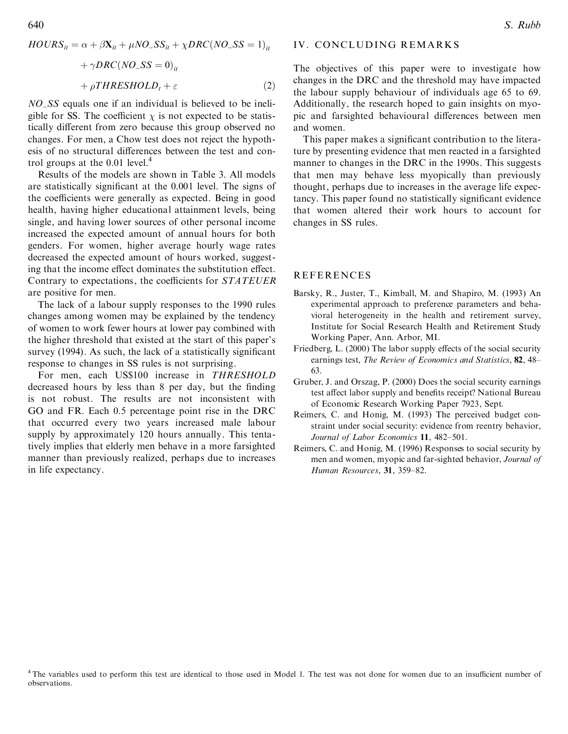$$
HOURS_{it} = \alpha + \beta \mathbf{X}_{it} + \mu NO_-SS_{it} + \chi DRC(NO_-SS = 1)_{it}
$$

$$
+ \gamma DRC(NO_-SS = 0)_{it}
$$

$$
+ \rho THRESHOLD_t + \varepsilon
$$
(2)

*NO\_SS* equals one if an individual is believed to be ineligible for SS. The coefficient  $\chi$  is not expected to be statistically different from zero because this group observed no changes. For men, a Chow test does not reject the hypothesis of no structural differences between the test and control groups at the 0.01 level.<sup>4</sup>

Results of the models are shown in Table 3. All models are statistically significant at the 0.001 level. The signs of the coefficients were generally as expected. Being in good health, having higher educational attainment levels, being single, and having lower sources of other personal income increased the expected amount of annual hours for both genders. For women, higher average hourly wage rates decreased the expected amount of hours worked, suggesting that the income effect dominates the substitution effect. Contrary to expectations, the coefficients for STATEUER are positive for men.

The lack of a labour supply responses to the 1990 rules changes among women may be explained by the tendency of women to work fewer hours at lower pay combined with the higher threshold that existed at the start of this paper's survey (1994). As such, the lack of a statistically significant response to changes in SS rules is not surprising.

For men, each US\$100 increase in THRESHOLD decreased hours by less than 8 per day, but the finding is not robust. The results are not inconsistent with GO and FR. Each 0.5 percentage point rise in the DRC that occurred every two years increased male labour supply by approximately 120 hours annually. This tentatively implies that elderly men behave in a more farsighted manner than previously realized, perhaps due to increases in life expectancy.

#### IV. CONCLUDING REMARKS

The objectives of this paper were to investigate how changes in the DRC and the threshold may have impacted the labour supply behaviour of individuals age 65 to 69. Additionally, the research hoped to gain insights on myopic and farsighted behavioural differences between men and women.

This paper makes a significant contribution to the literature by presenting evidence that men reacted in a farsighted manner to changes in the DRC in the 1990s. This suggests that men may behave less myopically than previously thought, perhaps due to increases in the average life expectancy. This paper found no statistically significant evidence that women altered their work hours to account for changes in SS rules.

### **REFERENCES**

- Barsky, R., Juster, T., Kimball, M. and Shapiro, M. (1993) An experimental approach to preference parameters and behavioral heterogeneity in the health and retirement survey, Institute for Social Research Health and Retirement Study Working Paper, Ann. Arbor, MI.
- Friedberg, L. (2000) The labor supply effects of the social security earnings test, The Review of Economics and Statistics, 82, 48-63.
- Gruber, J. and Orszag, P. (2000) Does the social security earnings test affect labor supply and benefits receipt? National Bureau of Economic Research Working Paper 7923, Sept.
- Reimers, C. and Honig, M. (1993) The perceived budget constraint under social security: evidence from reentry behavior, Journal of Labor Economics 11, 482-501.
- Reimers, C. and Honig, M. (1996) Responses to social security by men and women, myopic and far-sighted behavior, Journal of Human Resources, 31, 359-82.

<sup>4</sup> The variables used to perform this test are identical to those used in Model 1. The test was not done for women due to an insufficient number of observations.